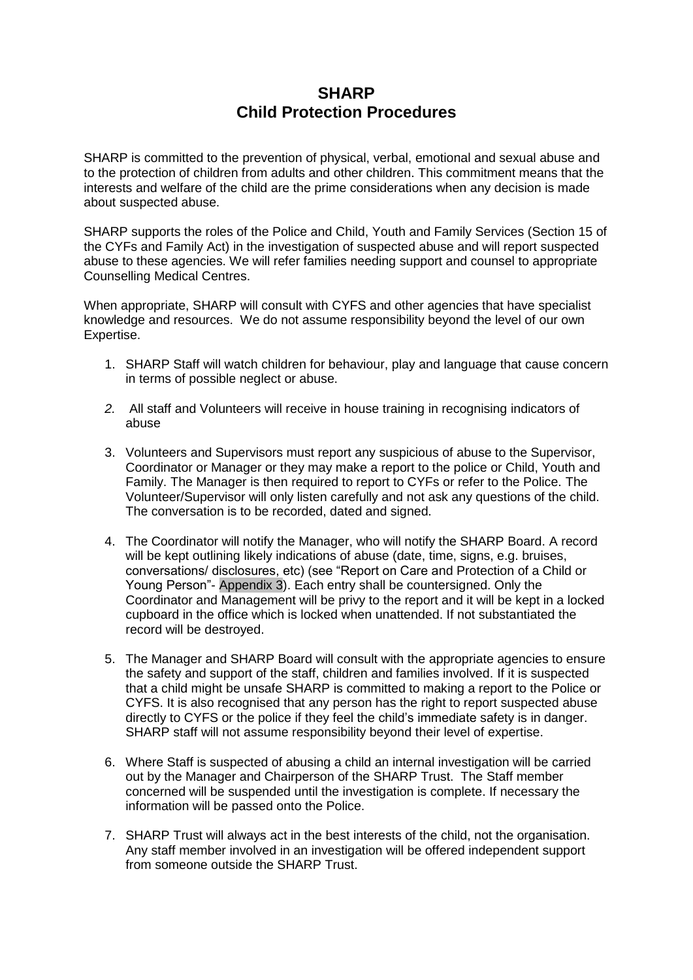## **SHARP Child Protection Procedures**

SHARP is committed to the prevention of physical, verbal, emotional and sexual abuse and to the protection of children from adults and other children. This commitment means that the interests and welfare of the child are the prime considerations when any decision is made about suspected abuse.

SHARP supports the roles of the Police and Child, Youth and Family Services (Section 15 of the CYFs and Family Act) in the investigation of suspected abuse and will report suspected abuse to these agencies. We will refer families needing support and counsel to appropriate Counselling Medical Centres.

When appropriate, SHARP will consult with CYFS and other agencies that have specialist knowledge and resources. We do not assume responsibility beyond the level of our own Expertise.

- 1. SHARP Staff will watch children for behaviour, play and language that cause concern in terms of possible neglect or abuse.
- *2.* All staff and Volunteers will receive in house training in recognising indicators of abuse
- 3. Volunteers and Supervisors must report any suspicious of abuse to the Supervisor, Coordinator or Manager or they may make a report to the police or Child, Youth and Family. The Manager is then required to report to CYFs or refer to the Police. The Volunteer/Supervisor will only listen carefully and not ask any questions of the child. The conversation is to be recorded, dated and signed.
- 4. The Coordinator will notify the Manager, who will notify the SHARP Board. A record will be kept outlining likely indications of abuse (date, time, signs, e.g. bruises, conversations/ disclosures, etc) (see "Report on Care and Protection of a Child or Young Person"- Appendix 3). Each entry shall be countersigned. Only the Coordinator and Management will be privy to the report and it will be kept in a locked cupboard in the office which is locked when unattended. If not substantiated the record will be destroyed.
- 5. The Manager and SHARP Board will consult with the appropriate agencies to ensure the safety and support of the staff, children and families involved. If it is suspected that a child might be unsafe SHARP is committed to making a report to the Police or CYFS. It is also recognised that any person has the right to report suspected abuse directly to CYFS or the police if they feel the child"s immediate safety is in danger. SHARP staff will not assume responsibility beyond their level of expertise.
- 6. Where Staff is suspected of abusing a child an internal investigation will be carried out by the Manager and Chairperson of the SHARP Trust. The Staff member concerned will be suspended until the investigation is complete. If necessary the information will be passed onto the Police.
- 7. SHARP Trust will always act in the best interests of the child, not the organisation. Any staff member involved in an investigation will be offered independent support from someone outside the SHARP Trust.